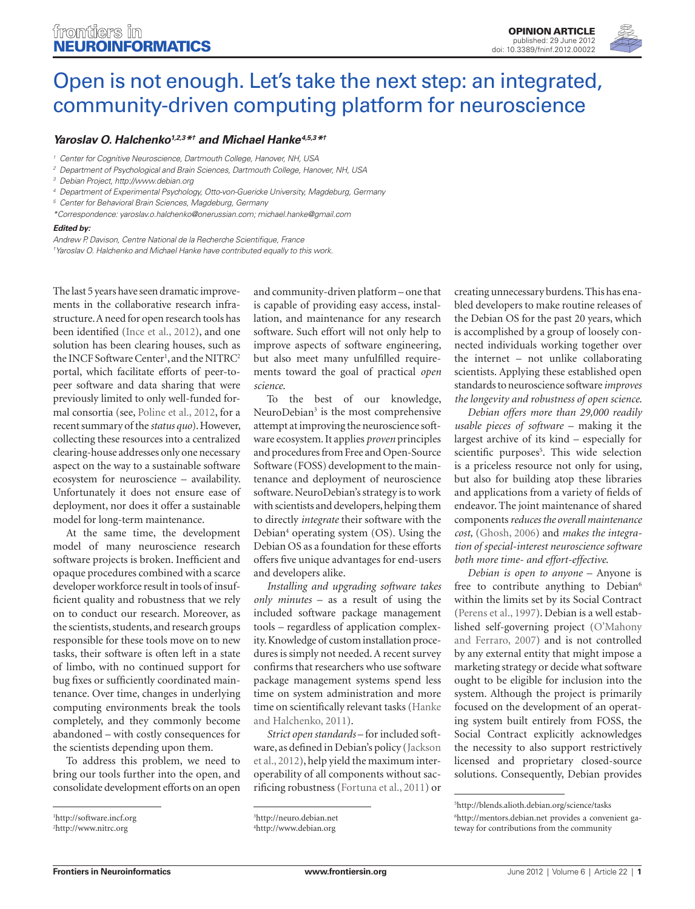

# [Open is not enough. Let's take the next step: an integrated,](http://www.frontiersin.org/Neuroinformatics/10.3389/fninf.2012.00022/full) community-driven computing platform for neuroscience

# *[Yaroslav O. Halchenko](http://www.frontiersin.org/Community/WhosWhoActivity.aspx?sname=YaroslavHalchenko&UID=2437)1,2,3\*† and [Michael Hanke](http://www.frontiersin.org/Community/WhosWhoActivity.aspx?sname=MichaelHanke&UID=874)4,5,3\*†*

*<sup>1</sup> Center for Cognitive Neuroscience, Dartmouth College, Hanover, NH, USA*

- *<sup>2</sup> Department of Psychological and Brain Sciences, Dartmouth College, Hanover, NH, USA*
- *<sup>3</sup> Debian Project,<http://www.debian.org>*
- *<sup>4</sup> Department of Experimental Psychology, Otto-von-Guericke University, Magdeburg, Germany*

*\*Correspondence: yaroslav.o.halchenko@onerussian.com; michael.hanke@gmail.com*

#### *Edited by:*

*Andrew P. Davison, Centre National de la Recherche Scientifique, France*

*† Yaroslav O. Halchenko and Michael Hanke have contributed equally to this work.*

The last 5 years have seen dramatic improvements in the collaborative research infrastructure. A need for open research tools has been identified (Ince et al., 2012), and one solution has been clearing houses, such as the INCF Software Center<sup>1</sup>, and the NITRC<sup>2</sup> portal, which facilitate efforts of peer-topeer software and data sharing that were previously limited to only well-funded formal consortia (see, Poline et al., 2012, for a recent summary of the *status quo*). However, collecting these resources into a centralized clearing-house addresses only one necessary aspect on the way to a sustainable software ecosystem for neuroscience – availability. Unfortunately it does not ensure ease of deployment, nor does it offer a sustainable model for long-term maintenance.

At the same time, the development model of many neuroscience research software projects is broken. Inefficient and opaque procedures combined with a scarce developer workforce result in tools of insufficient quality and robustness that we rely on to conduct our research. Moreover, as the scientists, students, and research groups responsible for these tools move on to new tasks, their software is often left in a state of limbo, with no continued support for bug fixes or sufficiently coordinated maintenance. Over time, changes in underlying computing environments break the tools completely, and they commonly become abandoned – with costly consequences for the scientists depending upon them.

To address this problem, we need to bring our tools further into the open, and consolidate development efforts on an open

and community-driven platform – one that is capable of providing easy access, installation, and maintenance for any research software. Such effort will not only help to improve aspects of software engineering, but also meet many unfulfilled requirements toward the goal of practical *open science*.

To the best of our knowledge, NeuroDebian<sup>3</sup> is the most comprehensive attempt at improving the neuroscience software ecosystem. It applies *proven* principles and procedures from Free and Open-Source Software (FOSS) development to the maintenance and deployment of neuroscience software. NeuroDebian's strategy is to work with scientists and developers, helping them to directly *integrate* their software with the Debian<sup>4</sup> operating system (OS). Using the Debian OS as a foundation for these efforts offers five unique advantages for end-users and developers alike.

*Installing and upgrading software takes only minutes* – as a result of using the included software package management tools – regardless of application complexity. Knowledge of custom installation procedures is simply not needed. A recent survey confirms that researchers who use software package management systems spend less time on system administration and more time on scientifically relevant tasks (Hanke and Halchenko, 2011).

*Strict open standards* – for included software, as defined in Debian's policy (Jackson et al., 2012), help yield the maximum interoperability of all components without sacrificing robustness (Fortuna et al., 2011) or creating unnecessary burdens. This has enabled developers to make routine releases of the Debian OS for the past 20 years, which is accomplished by a group of loosely connected individuals working together over the internet – not unlike collaborating scientists. Applying these established open standards to neuroscience software *improves the longevity and robustness of open science*.

*Debian offers more than 29,000 readily usable pieces of software* – making it the largest archive of its kind – especially for scientific purposes<sup>5</sup>. This wide selection is a priceless resource not only for using, but also for building atop these libraries and applications from a variety of fields of endeavor. The joint maintenance of shared components *reduces the overall maintenance cost,* (Ghosh, 2006) and *makes the integration of special-interest neuroscience software both more time- and effort-effective*.

*Debian is open to anyone* – Anyone is free to contribute anything to Debian<sup>6</sup> within the limits set by its Social Contract (Perens et al., 1997). Debian is a well established self-governing project (O'Mahony and Ferraro, 2007) and is not controlled by any external entity that might impose a marketing strategy or decide what software ought to be eligible for inclusion into the system. Although the project is primarily focused on the development of an operating system built entirely from FOSS, the Social Contract explicitly acknowledges the necessity to also support restrictively licensed and proprietary closed-source solutions. Consequently, Debian provides

6 <http://mentors.debian.net>provides a convenient gateway for contributions from the community

*<sup>5</sup> Center for Behavioral Brain Sciences, Magdeburg, Germany*

<sup>1</sup> <http://software.incf.org>

<sup>2</sup> http://www.nitrc.org

<sup>3</sup> <http://neuro.debian.net>

<sup>4</sup> http://www.debian.org

<sup>5</sup> <http://blends.alioth.debian.org/science/tasks>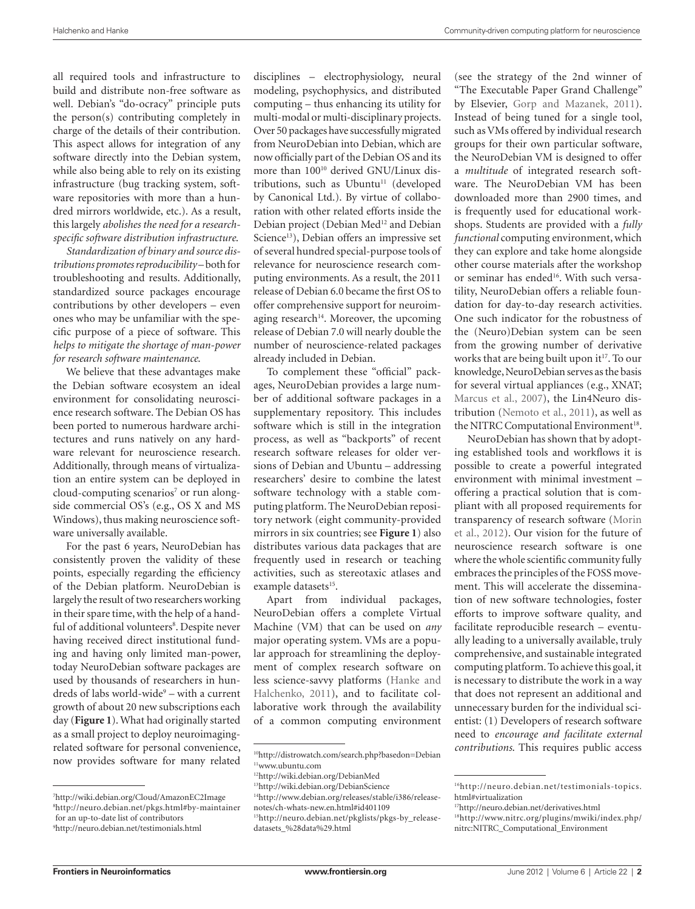all required tools and infrastructure to build and distribute non-free software as well. Debian's "do-ocracy" principle puts the person(s) contributing completely in charge of the details of their contribution. This aspect allows for integration of any software directly into the Debian system, while also being able to rely on its existing infrastructure (bug tracking system, software repositories with more than a hundred mirrors worldwide, etc.). As a result, this largely *abolishes the need for a researchspecific software distribution infrastructure*.

*Standardization of binary and source distributions promotes reproducibility* – both for troubleshooting and results. Additionally, standardized source packages encourage contributions by other developers – even ones who may be unfamiliar with the specific purpose of a piece of software. This *helps to mitigate the shortage of man-power for research software maintenance*.

We believe that these advantages make the Debian software ecosystem an ideal environment for consolidating neuroscience research software. The Debian OS has been ported to numerous hardware architectures and runs natively on any hardware relevant for neuroscience research. Additionally, through means of virtualization an entire system can be deployed in cloud-computing scenarios<sup>7</sup> or run alongside commercial OS's (e.g., OS X and MS Windows), thus making neuroscience software universally available.

For the past 6 years, NeuroDebian has consistently proven the validity of these points, especially regarding the efficiency of the Debian platform. NeuroDebian is largely the result of two researchers working in their spare time, with the help of a handful of additional volunteers<sup>8</sup>. Despite never having received direct institutional funding and having only limited man-power, today NeuroDebian software packages are used by thousands of researchers in hundreds of labs world-wide<sup>9</sup> – with a current growth of about 20 new subscriptions each day (**Figure 1**). What had originally started as a small project to deploy neuroimagingrelated software for personal convenience, now provides software for many related

disciplines – electrophysiology, neural modeling, psychophysics, and distributed computing – thus enhancing its utility for multi-modal or multi-disciplinary projects. Over 50 packages have successfully migrated from NeuroDebian into Debian, which are now officially part of the Debian OS and its more than 100<sup>10</sup> derived GNU/Linux distributions, such as Ubuntu<sup>11</sup> (developed by Canonical Ltd.). By virtue of collaboration with other related efforts inside the Debian project (Debian Med<sup>12</sup> and Debian Science<sup>13</sup>), Debian offers an impressive set of several hundred special-purpose tools of relevance for neuroscience research computing environments. As a result, the 2011 release of Debian 6.0 became the first OS to offer comprehensive support for neuroimaging research<sup>14</sup>. Moreover, the upcoming release of Debian 7.0 will nearly double the number of neuroscience-related packages already included in Debian.

To complement these "official" packages, NeuroDebian provides a large number of additional software packages in a supplementary repository. This includes software which is still in the integration process, as well as "backports" of recent research software releases for older versions of Debian and Ubuntu – addressing researchers' desire to combine the latest software technology with a stable computing platform. The NeuroDebian repository network (eight community-provided mirrors in six countries; see **Figure 1**) also distributes various data packages that are frequently used in research or teaching activities, such as stereotaxic atlases and example datasets<sup>15</sup>.

Apart from individual packages, NeuroDebian offers a complete Virtual Machine (VM) that can be used on *any* major operating system. VMs are a popular approach for streamlining the deployment of complex research software on less science-savvy platforms (Hanke and Halchenko, 2011), and to facilitate collaborative work through the availability of a common computing environment (see the strategy of the 2nd winner of "The Executable Paper Grand Challenge" by Elsevier, Gorp and Mazanek, 2011). Instead of being tuned for a single tool, such as VMs offered by individual research groups for their own particular software, the NeuroDebian VM is designed to offer a *multitude* of integrated research software. The NeuroDebian VM has been downloaded more than 2900 times, and is frequently used for educational workshops. Students are provided with a *fully functional* computing environment, which they can explore and take home alongside other course materials after the workshop or seminar has ended<sup>16</sup>. With such versatility, NeuroDebian offers a reliable foundation for day-to-day research activities. One such indicator for the robustness of the (Neuro)Debian system can be seen from the growing number of derivative works that are being built upon it<sup>17</sup>. To our knowledge, NeuroDebian serves as the basis for several virtual appliances (e.g., XNAT; Marcus et al., 2007), the Lin4Neuro distribution (Nemoto et al., 2011), as well as the NITRC Computational Environment<sup>18</sup>.

NeuroDebian has shown that by adopting established tools and workflows it is possible to create a powerful integrated environment with minimal investment – offering a practical solution that is compliant with all proposed requirements for transparency of research software (Morin et al., 2012). Our vision for the future of neuroscience research software is one where the whole scientific community fully embraces the principles of the FOSS movement. This will accelerate the dissemination of new software technologies, foster efforts to improve software quality, and facilitate reproducible research – eventually leading to a universally available, truly comprehensive, and sustainable integrated computing platform. To achieve this goal, it is necessary to distribute the work in a way that does not represent an additional and unnecessary burden for the individual scientist: (1) Developers of research software need to *encourage and facilitate external contributions*. This requires public access

<sup>7</sup> <http://wiki.debian.org/Cloud/AmazonEC2Image> 8 <http://neuro.debian.net/pkgs.html#by-maintainer> for an up-to-date list of contributors 9 <http://neuro.debian.net/testimonials.html>

<sup>1</sup>[0http://distrowatch.com/search.php?basedon=Debian](http://distrowatch.com/search.php?basedon=Debian) 11<www.ubuntu.com>

<sup>12</sup><http://wiki.debian.org/DebianMed>

<sup>13</sup><http://wiki.debian.org/DebianScience> 14[http://www.debian.org/releases/stable/i386/release-](http://www.debian.org/releases/stable/i386/release-notes/ch-whats-new.en.html#id401109)

[notes/ch-whats-new.en.html#id401109](http://www.debian.org/releases/stable/i386/release-notes/ch-whats-new.en.html#id401109) 15[http://neuro.debian.net/pkglists/pkgs-by\\_release-](http://neuro.debian.net/pkglists/pkgs-by_release-datasets_%28data%29.html)

[datasets\\_%28data%29.html](http://neuro.debian.net/pkglists/pkgs-by_release-datasets_%28data%29.html)

<sup>16</sup>[http://neuro.debian.net/testimonials-topics.](http://neuro.debian.net/testimonials-topics.html#virtualization) [html#virtualization](http://neuro.debian.net/testimonials-topics.html#virtualization)

<sup>1</sup>[7http://neuro.debian.net/derivatives.html](http://neuro.debian.net/derivatives.html)

<sup>18</sup>[http://www.nitrc.org/plugins/mwiki/index.php/](http://www.nitrc.org/plugins/mwiki/index.php/nitrc:NITRC_Computational_Environment) [nitrc:NITRC\\_Computational\\_Environment](http://www.nitrc.org/plugins/mwiki/index.php/nitrc:NITRC_Computational_Environment)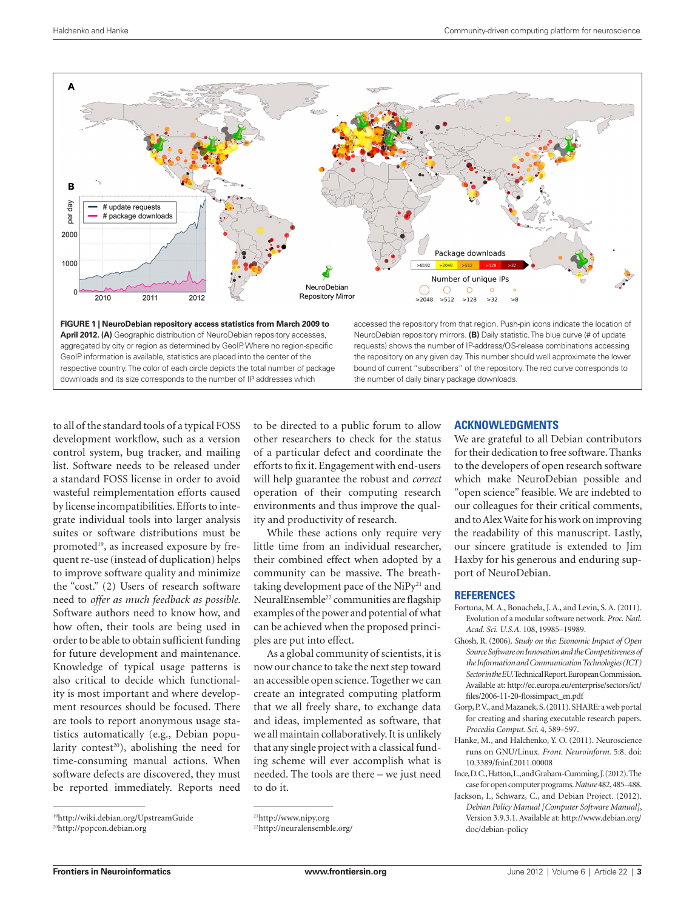

**Figure 1 | NeuroDebian repository access statistics from March 2009 to April 2012. (A)** Geographic distribution of NeuroDebian repository accesses, aggregated by city or region as determined by GeoIP. Where no region-specific GeoIP information is available, statistics are placed into the center of the respective country. The color of each circle depicts the total number of package downloads and its size corresponds to the number of IP addresses which

accessed the repository from that region. Push-pin icons indicate the location of NeuroDebian repository mirrors. **(B)** Daily statistic. The blue curve (# of update requests) shows the number of IP-address/OS-release combinations accessing the repository on any given day. This number should well approximate the lower bound of current "subscribers" of the repository. The red curve corresponds to the number of daily binary package downloads.

to all of the standard tools of a typical FOSS development workflow, such as a version control system, bug tracker, and mailing list. Software needs to be released under a standard FOSS license in order to avoid wasteful reimplementation efforts caused by license incompatibilities. Efforts to integrate individual tools into larger analysis suites or software distributions must be promoted<sup>19</sup>, as increased exposure by frequent re-use (instead of duplication) helps to improve software quality and minimize the "cost." (2) Users of research software need to *offer as much feedback as possible*. Software authors need to know how, and how often, their tools are being used in order to be able to obtain sufficient funding for future development and maintenance. Knowledge of typical usage patterns is also critical to decide which functionality is most important and where development resources should be focused. There are tools to report anonymous usage statistics automatically (e.g., Debian popularity contest<sup>20</sup>), abolishing the need for time-consuming manual actions. When software defects are discovered, they must be reported immediately. Reports need

to be directed to a public forum to allow other researchers to check for the status of a particular defect and coordinate the efforts to fix it. Engagement with end-users will help guarantee the robust and *correct* operation of their computing research environments and thus improve the quality and productivity of research.

While these actions only require very little time from an individual researcher, their combined effect when adopted by a community can be massive. The breathtaking development pace of the  $NiPy<sup>21</sup>$  and NeuralEnsemble22 communities are flagship examples of the power and potential of what can be achieved when the proposed principles are put into effect.

As a global community of scientists, it is now our chance to take the next step toward an accessible open science. Together we can create an integrated computing platform that we all freely share, to exchange data and ideas, implemented as software, that we all maintain collaboratively. It is unlikely that any single project with a classical funding scheme will ever accomplish what is needed. The tools are there – we just need to do it.

### **Acknowledgments**

We are grateful to all Debian contributors for their dedication to free software. Thanks to the developers of open research software which make NeuroDebian possible and "open science" feasible. We are indebted to our colleagues for their critical comments, and to Alex Waite for his work on improving the readability of this manuscript. Lastly, our sincere gratitude is extended to Jim Haxby for his generous and enduring support of NeuroDebian.

## **References**

- Fortuna, M. A., Bonachela, J. A., and Levin, S. A. (2011). Evolution of a modular software network. *Proc. Natl. Acad. Sci. U.S.A.* 108, 19985–19989.
- Ghosh, R. (2006). *Study on the: Economic Impact of Open Source Software on Innovation and the Competitiveness of the Information and Communication Technologies (ICT) Sector in the EU*. Technical Report. European Commission. Available at: [http://ec.europa.eu/enterprise/sectors/ict/](http://ec.europa.eu/enterprise/sectors/ict/files/2006-11-20-flossimpact_en.pdf) [files/2006-11-20-flossimpact\\_en.pdf](http://ec.europa.eu/enterprise/sectors/ict/files/2006-11-20-flossimpact_en.pdf)
- Gorp, P. V., and Mazanek, S. (2011). SHARE: a web portal for creating and sharing executable research papers. *Procedia Comput. Sci.* 4, 589–597.
- Hanke, M., and Halchenko, Y. O. (2011). Neuroscience runs on GNU/Linux. *Front. Neuroinform.* 5:8. doi: 10.3389/fninf.2011.00008
- Ince, D. C., Hatton, L., and Graham-Cumming, J. (2012). The case for open computer programs. *Nature* 482, 485–488.
- Jackson, I., Schwarz, C., and Debian Project. (2012). *Debian Policy Manual [Computer Software Manual]*, Version 3.9.3.1. Available at: http://www.debian.org/ doc/debian-policy

<sup>19</sup><http://wiki.debian.org/UpstreamGuide>

<sup>20</sup><http://popcon.debian.org>

<sup>21</sup><http://www.nipy.org>

<sup>22</sup><http://neuralensemble.org/>